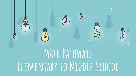

# **Elementary to Middle School**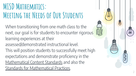### **MISD Mathematics: Meeting the Needs of Our Students**

When transitioning from one math class to the next, our goal is for students to encounter rigorous learning experiences at their

assessed/demonstrated instructional level.

This will position students to successfully meet high expectations and demonstrate proficiency in the [Mathematical Content Standards](http://www.corestandards.org/Math/) and also the [Standards for Mathematical Practices](http://www.corestandards.org/Math/Practice/).

2

同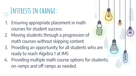## **Interests in change:**

- 1. Ensuring appropriate placement in math courses for student success
- 2. Moving students through a progression of math courses without skipping content
- 3. Providing an opportunity for all students who are ready to reach Algebra 1 at IMS
- 4. Providing multiple math course options for students; on-ramps and off ramps as needed.

3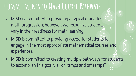### **Commitments to Math Course Pathways**

- ⊹ MISD is committed to providing a typical grade-level math progression; however, we recognize students vary in their readiness for math learning.
- ⊹ MISD is committed to providing access for students to engage in the most appropriate mathematical courses and experiences.
- ⊹ MISD is committed to creating multiple pathways for students to accomplish this goal via "on ramps and off ramps".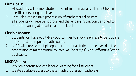#### **Firm Goals:**

- 1. All students will demonstrate proficient mathematical skills identified in a specific course or grade level.
- 2. Through a consecutive progression of mathematical courses, all students will receive rigorous and challenging instruction designed to promote learning at a particular math level.

#### **Flexible Means:**

- 1. Students will have equitable opportunities to show readiness to participate in the most appropriate math course.
- 2. MISD will provide multiple opportunities for a student to be placed in the progression of mathematical courses via "on ramps" with "off ramps" when applicable.

#### **MISD Values:**

- 1. Provide rigorous and challenging learning for all students.
- 2. Create equitable access to these math progression pathways.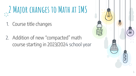# **2 Major changes to Math at IMS**

- 1. Course title changes
- 2. Addition of new "compacted" math course starting in 2023/2024 school year



6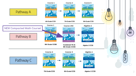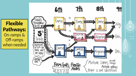**Flexible Pathways:** On-ramps & Off-ramps when needed

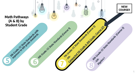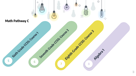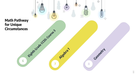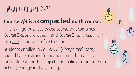## **What is Course 2/3?**

### **Course 2/3 is a compacted math course.**

- This is a rigorous, fast-paced course that combines Course 2 (Seventh Grade math) and Course 3 (Eighth Grade math) into one school year of instruction.
- Students enrolled in Course 2/3 (Compacted Math) should have a strong foundation in mathematics, a high-interest for the subject, and make a commitment to actively engage in the learning.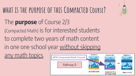### **what is the purpose of this Compacted Course?** The **purpose** of Course 2/3 (Compacted Math) is for interested students to complete two years of math content in one one school year without skipping any math topics. Course 1



 $\zeta$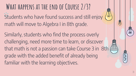**What happens at the end of Course 2/3?** Students who have found success and still enjoy  $\pmb{\langle \mathfrak{Q} }$ math will move to Algebra I in 8th grade.

Similarly, students who find the process overly challenging, need more time to learn, or discover that math is not a passion can take Course 3 in 8th grade with the added benefit of already being familiar with the learning objectives.

14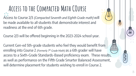**Access to the Compacted Math COurse** Access to Course 2/3 (Compacted Seventh and Eighth Grade math) will be made available to all students that demonstrate interest and readiness at the end of 6th grade.

Course 2/3 will be offered beginning in the 2023-2024 school year.

Current Gen-ed 5th-grade students who feel they would benefit from enrolling into Course 2 (Formerly  $7<sup>th</sup>$  Grade Math) as a 6th grader will have access to a Sixth-Grade Standards-Based proficiency exam. These results, as well as performance on the Fifth Grade Smarter Balanced Assessment, will determine placement for students wishing to enroll in Course 2.